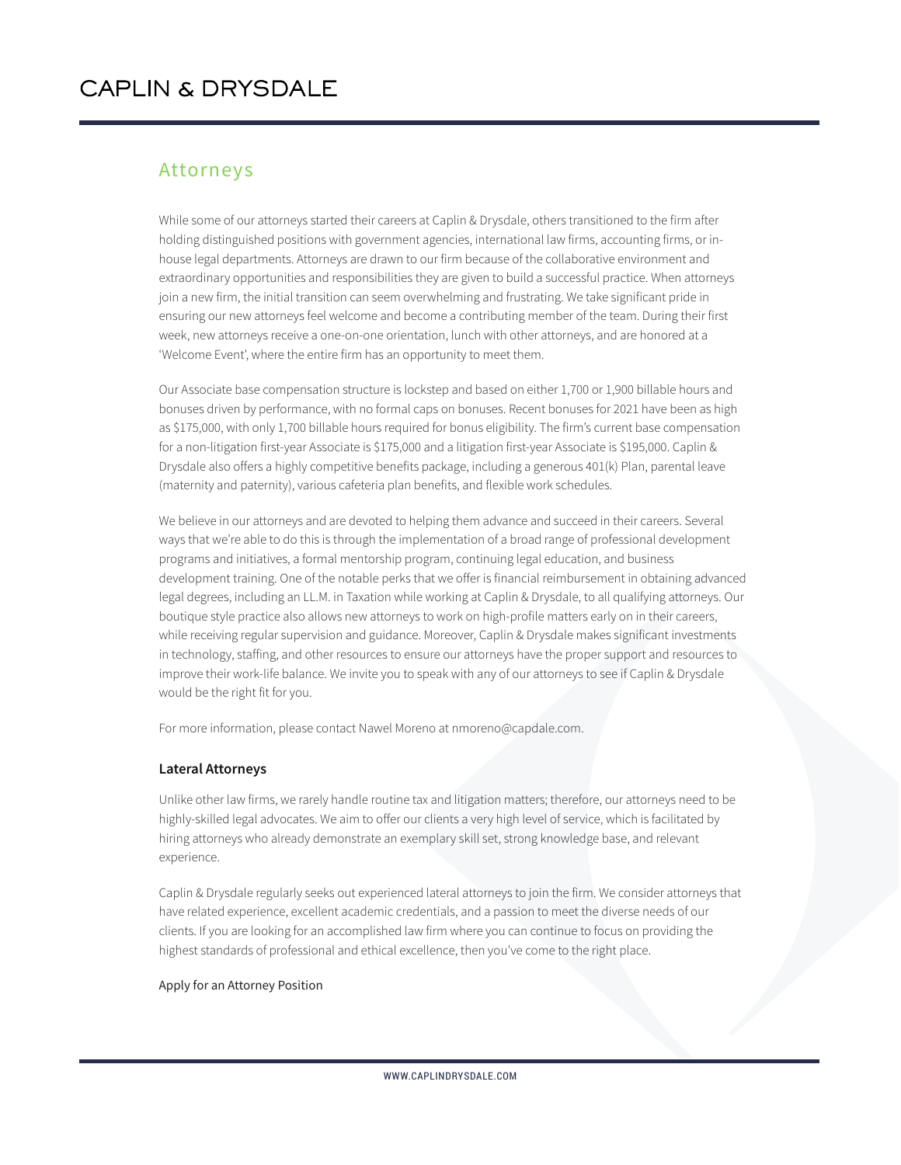# Attorneys

While some of our attorneys started their careers at Caplin & Drysdale, others transitioned to the firm after holding distinguished positions with government agencies, international law firms, accounting firms, or inhouse legal departments. Attorneys are drawn to our firm because of the collaborative environment and extraordinary opportunities and responsibilities they are given to build a successful practice. When attorneys join a new firm, the initial transition can seem overwhelming and frustrating. We take significant pride in ensuring our new attorneys feel welcome and become a contributing member of the team. During their first week, new attorneys receive a one-on-one orientation, lunch with other attorneys, and are honored at a 'Welcome Event', where the entire firm has an opportunity to meet them.

Our Associate base compensation structure is lockstep and based on either 1,700 or 1,900 billable hours and bonuses driven by performance, with no formal caps on bonuses. Recent bonuses for 2021 have been as high as \$175,000, with only 1,700 billable hours required for bonus eligibility. The firm's current base compensation for a non-litigation first-year Associate is \$175,000 and a litigation first-year Associate is \$195,000. Caplin & Drysdale also offers a highly competitive benefits package, including a generous 401(k) Plan, parental leave (maternity and paternity), various cafeteria plan benefits, and flexible work schedules.

We believe in our attorneys and are devoted to helping them advance and succeed in their careers. Several ways that we're able to do this is through the implementation of a broad range of professional development programs and initiatives, a formal mentorship program, continuing legal education, and business development training. One of the notable perks that we offer is financial reimbursement in obtaining advanced legal degrees, including an LL.M. in Taxation while working at Caplin & Drysdale, to all qualifying attorneys. Our boutique style practice also allows new attorneys to work on high-profile matters early on in their careers, while receiving regular supervision and guidance. Moreover, Caplin & Drysdale makes significant investments in technology, staffing, and other resources to ensure our attorneys have the proper support and resources to improve their work-life balance. We invite you to speak with any of our attorneys to see if Caplin & Drysdale would be the right fit for you.

For more information, please contact Nawel Moreno at nmoreno@capdale.com.

### **Lateral Attorneys**

Unlike other law firms, we rarely handle routine tax and litigation matters; therefore, our attorneys need to be highly-skilled legal advocates. We aim to offer our clients a very high level of service, which is facilitated by hiring attorneys who already demonstrate an exemplary skill set, strong knowledge base, and relevant experience.

Caplin & Drysdale regularly seeks out experienced lateral attorneys to join the firm. We consider attorneys that have related experience, excellent academic credentials, and a passion to meet the diverse needs of our clients. If you are looking for an accomplished law firm where you can continue to focus on providing the highest standards of professional and ethical excellence, then you've come to the right place.

#### Apply for an Attorney Position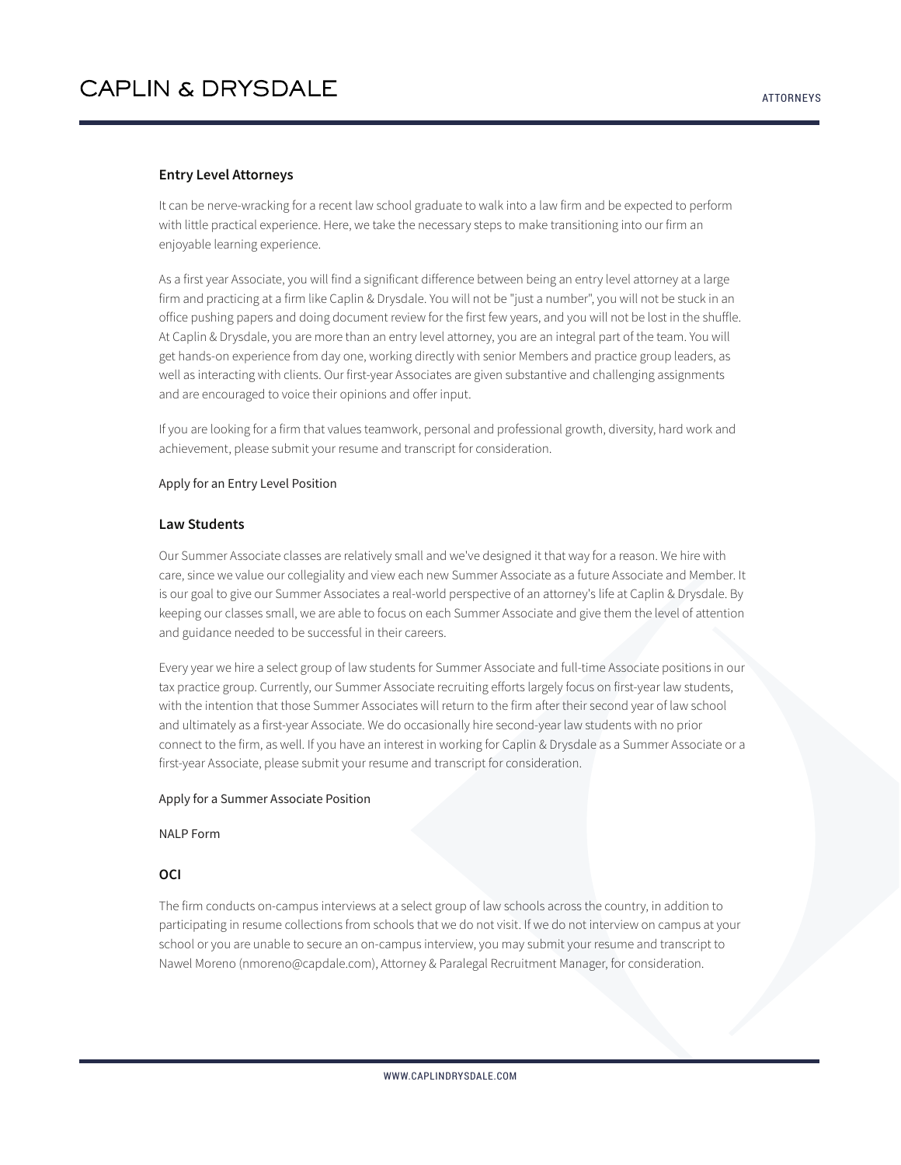#### **Entry Level Attorneys**

It can be nerve-wracking for a recent law school graduate to walk into a law firm and be expected to perform with little practical experience. Here, we take the necessary steps to make transitioning into our firm an enjoyable learning experience.

As a first year Associate, you will find a significant difference between being an entry level attorney at a large firm and practicing at a firm like Caplin & Drysdale. You will not be "just a number", you will not be stuck in an office pushing papers and doing document review for the first few years, and you will not be lost in the shuffle. At Caplin & Drysdale, you are more than an entry level attorney, you are an integral part of the team. You will get hands-on experience from day one, working directly with senior Members and practice group leaders, as well as interacting with clients. Our first-year Associates are given substantive and challenging assignments and are encouraged to voice their opinions and offer input.

If you are looking for a firm that values teamwork, personal and professional growth, diversity, hard work and achievement, please submit your resume and transcript for consideration.

#### Apply for an Entry Level Position

#### **Law Students**

Our Summer Associate classes are relatively small and we've designed it that way for a reason. We hire with care, since we value our collegiality and view each new Summer Associate as a future Associate and Member. It is our goal to give our Summer Associates a real-world perspective of an attorney's life at Caplin & Drysdale. By keeping our classes small, we are able to focus on each Summer Associate and give them the level of attention and guidance needed to be successful in their careers.

Every year we hire a select group of law students for Summer Associate and full-time Associate positions in our tax practice group. Currently, our Summer Associate recruiting efforts largely focus on first-year law students, with the intention that those Summer Associates will return to the firm after their second year of law school and ultimately as a first-year Associate. We do occasionally hire second-year law students with no prior connect to the firm, as well. If you have an interest in working for Caplin & Drysdale as a Summer Associate or a first-year Associate, please submit your resume and transcript for consideration.

#### Apply for a Summer Associate Position

NALP Form

# **OCI**

The firm conducts on-campus interviews at a select group of law schools across the country, in addition to participating in resume collections from schools that we do not visit. If we do not interview on campus at your school or you are unable to secure an on-campus interview, you may submit your resume and transcript to Nawel Moreno (nmoreno@capdale.com), Attorney & Paralegal Recruitment Manager, for consideration.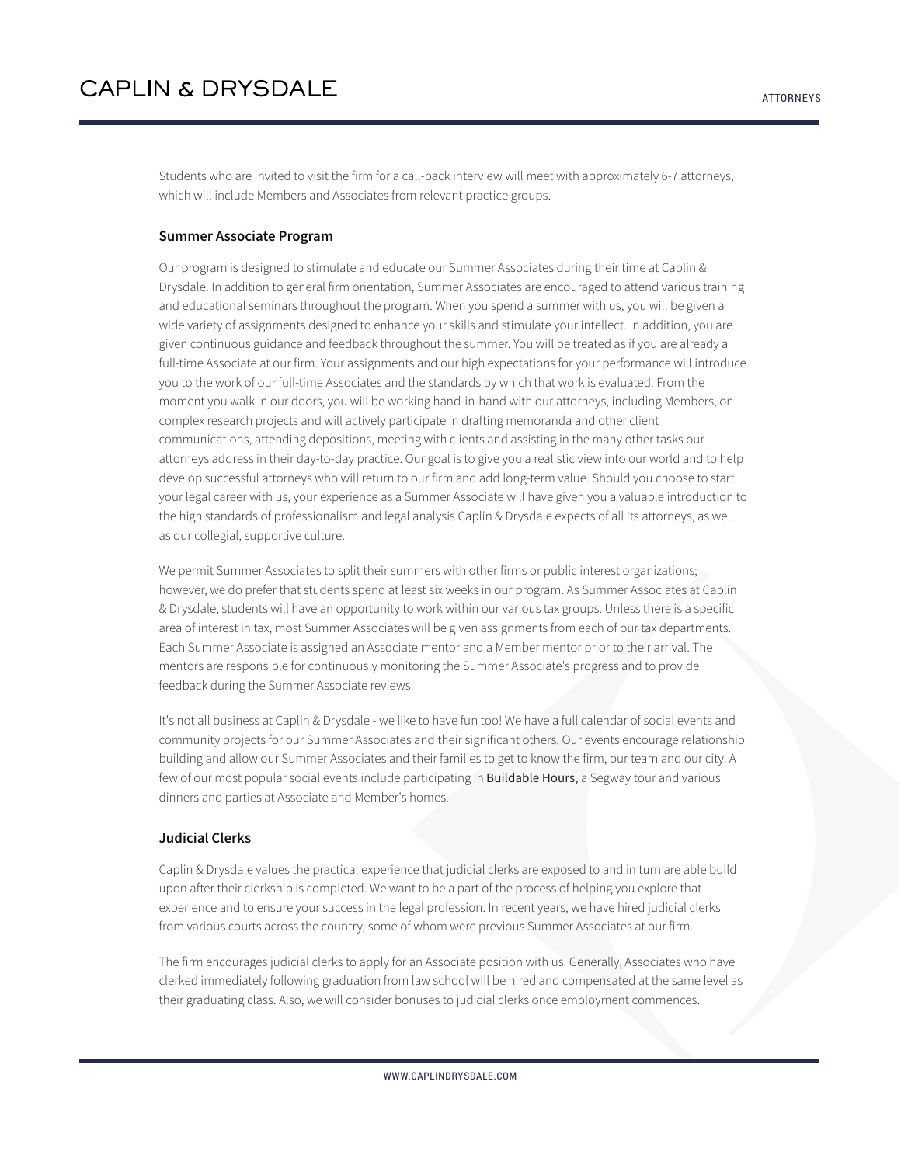Students who are invited to visit the firm for a call-back interview will meet with approximately 6-7 attorneys, which will include Members and Associates from relevant practice groups.

#### **Summer Associate Program**

Our program is designed to stimulate and educate our Summer Associates during their time at Caplin & Drysdale. In addition to general firm orientation, Summer Associates are encouraged to attend various training and educational seminars throughout the program. When you spend a summer with us, you will be given a wide variety of assignments designed to enhance your skills and stimulate your intellect. In addition, you are given continuous guidance and feedback throughout the summer. You will be treated as if you are already a full-time Associate at our firm. Your assignments and our high expectations for your performance will introduce you to the work of our full-time Associates and the standards by which that work is evaluated. From the moment you walk in our doors, you will be working hand-in-hand with our attorneys, including Members, on complex research projects and will actively participate in drafting memoranda and other client communications, attending depositions, meeting with clients and assisting in the many other tasks our attorneys address in their day-to-day practice. Our goal is to give you a realistic view into our world and to help develop successful attorneys who will return to our firm and add long-term value. Should you choose to start your legal career with us, your experience as a Summer Associate will have given you a valuable introduction to the high standards of professionalism and legal analysis Caplin & Drysdale expects of all its attorneys, as well as our collegial, supportive culture.

We permit Summer Associates to split their summers with other firms or public interest organizations; however, we do prefer that students spend at least six weeks in our program. As Summer Associates at Caplin & Drysdale, students will have an opportunity to work within our various tax groups. Unless there is a specific area of interest in tax, most Summer Associates will be given assignments from each of our tax departments. Each Summer Associate is assigned an Associate mentor and a Member mentor prior to their arrival. The mentors are responsible for continuously monitoring the Summer Associate's progress and to provide feedback during the Summer Associate reviews.

It's not all business at Caplin & Drysdale - we like to have fun too! We have a full calendar of social events and community projects for our Summer Associates and their significant others. Our events encourage relationship building and allow our Summer Associates and their families to get to know the firm, our team and our city. A few of our most popular social events include participating in Buildable Hours, a Segway tour and various dinners and parties at Associate and Member's homes.

#### **Judicial Clerks**

Caplin & Drysdale values the practical experience that judicial clerks are exposed to and in turn are able build upon after their clerkship is completed. We want to be a part of the process of helping you explore that experience and to ensure your success in the legal profession. In recent years, we have hired judicial clerks from various courts across the country, some of whom were previous Summer Associates at our firm.

The firm encourages judicial clerks to apply for an Associate position with us. Generally, Associates who have clerked immediately following graduation from law school will be hired and compensated at the same level as their graduating class. Also, we will consider bonuses to judicial clerks once employment commences.